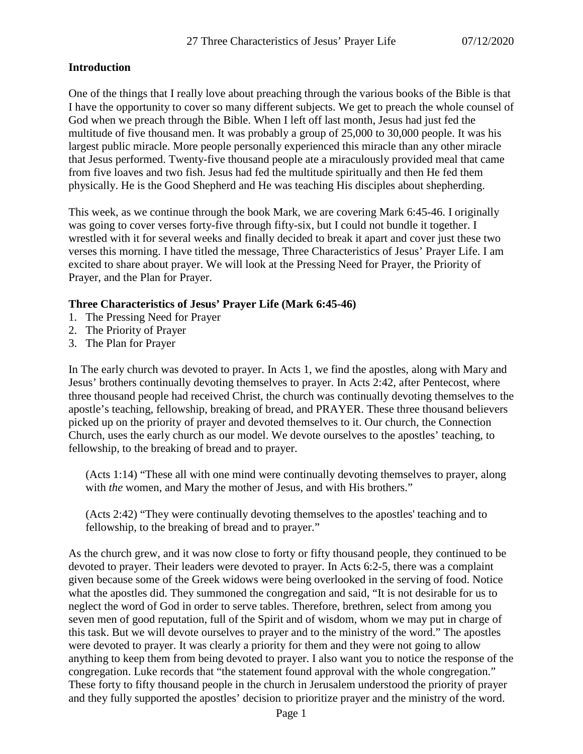### **Introduction**

One of the things that I really love about preaching through the various books of the Bible is that I have the opportunity to cover so many different subjects. We get to preach the whole counsel of God when we preach through the Bible. When I left off last month, Jesus had just fed the multitude of five thousand men. It was probably a group of 25,000 to 30,000 people. It was his largest public miracle. More people personally experienced this miracle than any other miracle that Jesus performed. Twenty-five thousand people ate a miraculously provided meal that came from five loaves and two fish. Jesus had fed the multitude spiritually and then He fed them physically. He is the Good Shepherd and He was teaching His disciples about shepherding.

This week, as we continue through the book Mark, we are covering Mark 6:45-46. I originally was going to cover verses forty-five through fifty-six, but I could not bundle it together. I wrestled with it for several weeks and finally decided to break it apart and cover just these two verses this morning. I have titled the message, Three Characteristics of Jesus' Prayer Life. I am excited to share about prayer. We will look at the Pressing Need for Prayer, the Priority of Prayer, and the Plan for Prayer.

### **Three Characteristics of Jesus' Prayer Life (Mark 6:45-46)**

- 1. The Pressing Need for Prayer
- 2. The Priority of Prayer
- 3. The Plan for Prayer

In The early church was devoted to prayer. In Acts 1, we find the apostles, along with Mary and Jesus' brothers continually devoting themselves to prayer. In Acts 2:42, after Pentecost, where three thousand people had received Christ, the church was continually devoting themselves to the apostle's teaching, fellowship, breaking of bread, and PRAYER. These three thousand believers picked up on the priority of prayer and devoted themselves to it. Our church, the Connection Church, uses the early church as our model. We devote ourselves to the apostles' teaching, to fellowship, to the breaking of bread and to prayer.

(Acts 1:14) "These all with one mind were continually devoting themselves to prayer, along with *the* women, and Mary the mother of Jesus, and with His brothers."

(Acts 2:42) "They were continually devoting themselves to the apostles' teaching and to fellowship, to the breaking of bread and to prayer."

As the church grew, and it was now close to forty or fifty thousand people, they continued to be devoted to prayer. Their leaders were devoted to prayer. In Acts 6:2-5, there was a complaint given because some of the Greek widows were being overlooked in the serving of food. Notice what the apostles did. They summoned the congregation and said, "It is not desirable for us to neglect the word of God in order to serve tables. Therefore, brethren, select from among you seven men of good reputation, full of the Spirit and of wisdom, whom we may put in charge of this task. But we will devote ourselves to prayer and to the ministry of the word." The apostles were devoted to prayer. It was clearly a priority for them and they were not going to allow anything to keep them from being devoted to prayer. I also want you to notice the response of the congregation. Luke records that "the statement found approval with the whole congregation." These forty to fifty thousand people in the church in Jerusalem understood the priority of prayer and they fully supported the apostles' decision to prioritize prayer and the ministry of the word.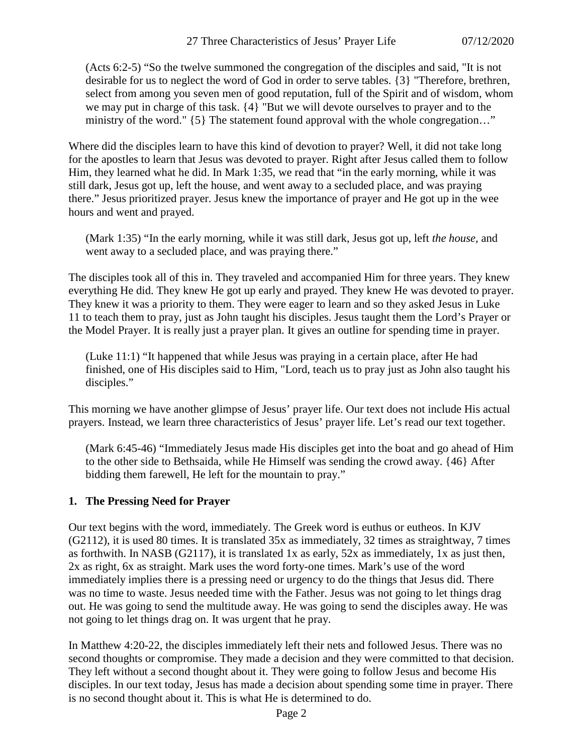(Acts 6:2-5) "So the twelve summoned the congregation of the disciples and said, "It is not desirable for us to neglect the word of God in order to serve tables. {3} "Therefore, brethren, select from among you seven men of good reputation, full of the Spirit and of wisdom, whom we may put in charge of this task. {4} "But we will devote ourselves to prayer and to the ministry of the word." {5} The statement found approval with the whole congregation..."

Where did the disciples learn to have this kind of devotion to prayer? Well, it did not take long for the apostles to learn that Jesus was devoted to prayer. Right after Jesus called them to follow Him, they learned what he did. In Mark 1:35, we read that "in the early morning, while it was still dark, Jesus got up, left the house, and went away to a secluded place, and was praying there." Jesus prioritized prayer. Jesus knew the importance of prayer and He got up in the wee hours and went and prayed.

(Mark 1:35) "In the early morning, while it was still dark, Jesus got up, left *the house,* and went away to a secluded place, and was praying there."

The disciples took all of this in. They traveled and accompanied Him for three years. They knew everything He did. They knew He got up early and prayed. They knew He was devoted to prayer. They knew it was a priority to them. They were eager to learn and so they asked Jesus in Luke 11 to teach them to pray, just as John taught his disciples. Jesus taught them the Lord's Prayer or the Model Prayer. It is really just a prayer plan. It gives an outline for spending time in prayer.

(Luke 11:1) "It happened that while Jesus was praying in a certain place, after He had finished, one of His disciples said to Him, "Lord, teach us to pray just as John also taught his disciples."

This morning we have another glimpse of Jesus' prayer life. Our text does not include His actual prayers. Instead, we learn three characteristics of Jesus' prayer life. Let's read our text together.

(Mark 6:45-46) "Immediately Jesus made His disciples get into the boat and go ahead of Him to the other side to Bethsaida, while He Himself was sending the crowd away. {46} After bidding them farewell, He left for the mountain to pray."

## **1. The Pressing Need for Prayer**

Our text begins with the word, immediately. The Greek word is euthus or eutheos. In KJV (G2112), it is used 80 times. It is translated 35x as immediately, 32 times as straightway, 7 times as forthwith. In NASB (G2117), it is translated 1x as early, 52x as immediately, 1x as just then, 2x as right, 6x as straight. Mark uses the word forty-one times. Mark's use of the word immediately implies there is a pressing need or urgency to do the things that Jesus did. There was no time to waste. Jesus needed time with the Father. Jesus was not going to let things drag out. He was going to send the multitude away. He was going to send the disciples away. He was not going to let things drag on. It was urgent that he pray.

In Matthew 4:20-22, the disciples immediately left their nets and followed Jesus. There was no second thoughts or compromise. They made a decision and they were committed to that decision. They left without a second thought about it. They were going to follow Jesus and become His disciples. In our text today, Jesus has made a decision about spending some time in prayer. There is no second thought about it. This is what He is determined to do.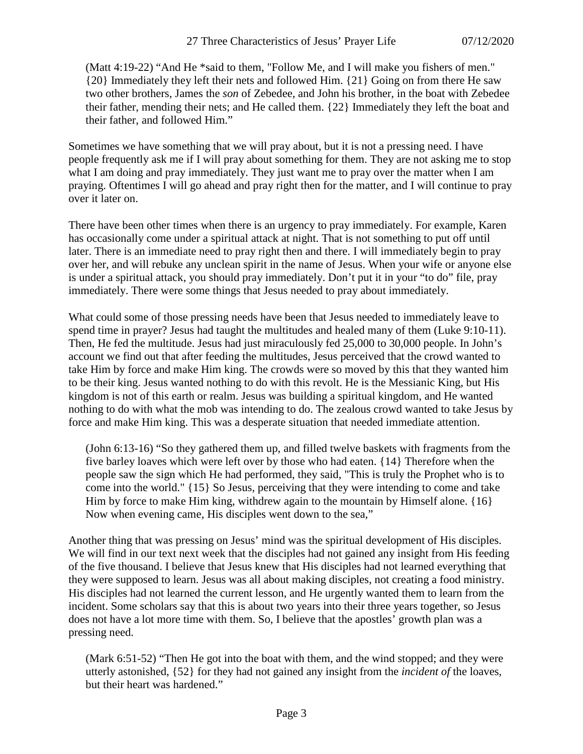(Matt 4:19-22) "And He \*said to them, "Follow Me, and I will make you fishers of men." {20} Immediately they left their nets and followed Him. {21} Going on from there He saw two other brothers, James the *son* of Zebedee, and John his brother, in the boat with Zebedee their father, mending their nets; and He called them. {22} Immediately they left the boat and their father, and followed Him."

Sometimes we have something that we will pray about, but it is not a pressing need. I have people frequently ask me if I will pray about something for them. They are not asking me to stop what I am doing and pray immediately. They just want me to pray over the matter when I am praying. Oftentimes I will go ahead and pray right then for the matter, and I will continue to pray over it later on.

There have been other times when there is an urgency to pray immediately. For example, Karen has occasionally come under a spiritual attack at night. That is not something to put off until later. There is an immediate need to pray right then and there. I will immediately begin to pray over her, and will rebuke any unclean spirit in the name of Jesus. When your wife or anyone else is under a spiritual attack, you should pray immediately. Don't put it in your "to do" file, pray immediately. There were some things that Jesus needed to pray about immediately.

What could some of those pressing needs have been that Jesus needed to immediately leave to spend time in prayer? Jesus had taught the multitudes and healed many of them (Luke 9:10-11). Then, He fed the multitude. Jesus had just miraculously fed 25,000 to 30,000 people. In John's account we find out that after feeding the multitudes, Jesus perceived that the crowd wanted to take Him by force and make Him king. The crowds were so moved by this that they wanted him to be their king. Jesus wanted nothing to do with this revolt. He is the Messianic King, but His kingdom is not of this earth or realm. Jesus was building a spiritual kingdom, and He wanted nothing to do with what the mob was intending to do. The zealous crowd wanted to take Jesus by force and make Him king. This was a desperate situation that needed immediate attention.

(John 6:13-16) "So they gathered them up, and filled twelve baskets with fragments from the five barley loaves which were left over by those who had eaten. {14} Therefore when the people saw the sign which He had performed, they said, "This is truly the Prophet who is to come into the world." {15} So Jesus, perceiving that they were intending to come and take Him by force to make Him king, withdrew again to the mountain by Himself alone. {16} Now when evening came, His disciples went down to the sea,"

Another thing that was pressing on Jesus' mind was the spiritual development of His disciples. We will find in our text next week that the disciples had not gained any insight from His feeding of the five thousand. I believe that Jesus knew that His disciples had not learned everything that they were supposed to learn. Jesus was all about making disciples, not creating a food ministry. His disciples had not learned the current lesson, and He urgently wanted them to learn from the incident. Some scholars say that this is about two years into their three years together, so Jesus does not have a lot more time with them. So, I believe that the apostles' growth plan was a pressing need.

(Mark 6:51-52) "Then He got into the boat with them, and the wind stopped; and they were utterly astonished, {52} for they had not gained any insight from the *incident of* the loaves, but their heart was hardened."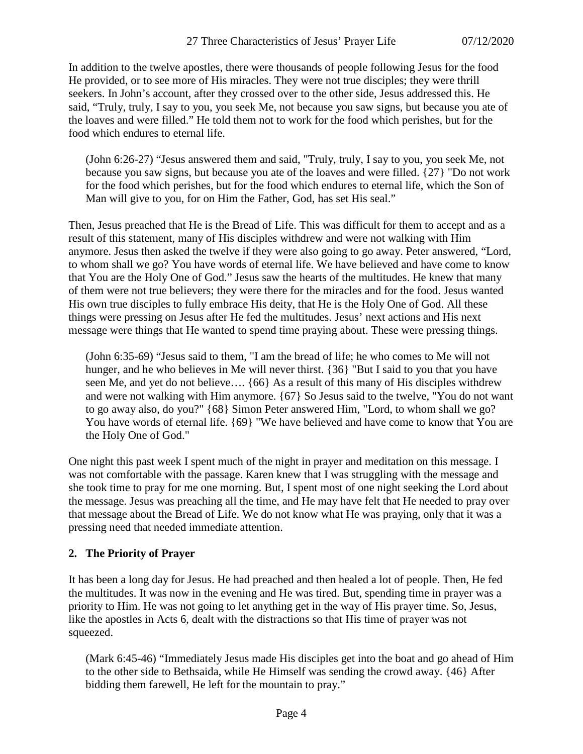In addition to the twelve apostles, there were thousands of people following Jesus for the food He provided, or to see more of His miracles. They were not true disciples; they were thrill seekers. In John's account, after they crossed over to the other side, Jesus addressed this. He said, "Truly, truly, I say to you, you seek Me, not because you saw signs, but because you ate of the loaves and were filled." He told them not to work for the food which perishes, but for the food which endures to eternal life.

(John 6:26-27) "Jesus answered them and said, "Truly, truly, I say to you, you seek Me, not because you saw signs, but because you ate of the loaves and were filled. {27} "Do not work for the food which perishes, but for the food which endures to eternal life, which the Son of Man will give to you, for on Him the Father, God, has set His seal."

Then, Jesus preached that He is the Bread of Life. This was difficult for them to accept and as a result of this statement, many of His disciples withdrew and were not walking with Him anymore. Jesus then asked the twelve if they were also going to go away. Peter answered, "Lord, to whom shall we go? You have words of eternal life. We have believed and have come to know that You are the Holy One of God." Jesus saw the hearts of the multitudes. He knew that many of them were not true believers; they were there for the miracles and for the food. Jesus wanted His own true disciples to fully embrace His deity, that He is the Holy One of God. All these things were pressing on Jesus after He fed the multitudes. Jesus' next actions and His next message were things that He wanted to spend time praying about. These were pressing things.

(John 6:35-69) "Jesus said to them, "I am the bread of life; he who comes to Me will not hunger, and he who believes in Me will never thirst. {36} "But I said to you that you have seen Me, and yet do not believe…. {66} As a result of this many of His disciples withdrew and were not walking with Him anymore. {67} So Jesus said to the twelve, "You do not want to go away also, do you?" {68} Simon Peter answered Him, "Lord, to whom shall we go? You have words of eternal life.  ${69}$  "We have believed and have come to know that You are the Holy One of God."

One night this past week I spent much of the night in prayer and meditation on this message. I was not comfortable with the passage. Karen knew that I was struggling with the message and she took time to pray for me one morning. But, I spent most of one night seeking the Lord about the message. Jesus was preaching all the time, and He may have felt that He needed to pray over that message about the Bread of Life. We do not know what He was praying, only that it was a pressing need that needed immediate attention.

## **2. The Priority of Prayer**

It has been a long day for Jesus. He had preached and then healed a lot of people. Then, He fed the multitudes. It was now in the evening and He was tired. But, spending time in prayer was a priority to Him. He was not going to let anything get in the way of His prayer time. So, Jesus, like the apostles in Acts 6, dealt with the distractions so that His time of prayer was not squeezed.

(Mark 6:45-46) "Immediately Jesus made His disciples get into the boat and go ahead of Him to the other side to Bethsaida, while He Himself was sending the crowd away. {46} After bidding them farewell, He left for the mountain to pray."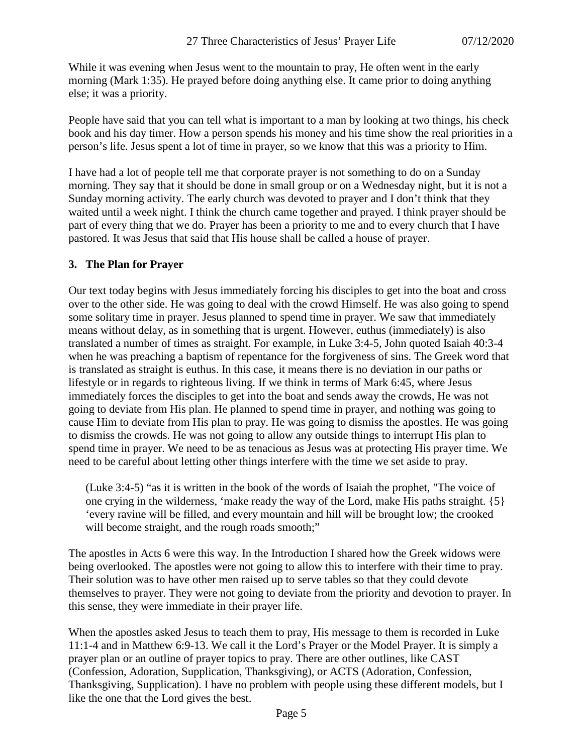While it was evening when Jesus went to the mountain to pray, He often went in the early morning (Mark 1:35). He prayed before doing anything else. It came prior to doing anything else; it was a priority.

People have said that you can tell what is important to a man by looking at two things, his check book and his day timer. How a person spends his money and his time show the real priorities in a person's life. Jesus spent a lot of time in prayer, so we know that this was a priority to Him.

I have had a lot of people tell me that corporate prayer is not something to do on a Sunday morning. They say that it should be done in small group or on a Wednesday night, but it is not a Sunday morning activity. The early church was devoted to prayer and I don't think that they waited until a week night. I think the church came together and prayed. I think prayer should be part of every thing that we do. Prayer has been a priority to me and to every church that I have pastored. It was Jesus that said that His house shall be called a house of prayer.

### **3. The Plan for Prayer**

Our text today begins with Jesus immediately forcing his disciples to get into the boat and cross over to the other side. He was going to deal with the crowd Himself. He was also going to spend some solitary time in prayer. Jesus planned to spend time in prayer. We saw that immediately means without delay, as in something that is urgent. However, euthus (immediately) is also translated a number of times as straight. For example, in Luke 3:4-5, John quoted Isaiah 40:3-4 when he was preaching a baptism of repentance for the forgiveness of sins. The Greek word that is translated as straight is euthus. In this case, it means there is no deviation in our paths or lifestyle or in regards to righteous living. If we think in terms of Mark 6:45, where Jesus immediately forces the disciples to get into the boat and sends away the crowds, He was not going to deviate from His plan. He planned to spend time in prayer, and nothing was going to cause Him to deviate from His plan to pray. He was going to dismiss the apostles. He was going to dismiss the crowds. He was not going to allow any outside things to interrupt His plan to spend time in prayer. We need to be as tenacious as Jesus was at protecting His prayer time. We need to be careful about letting other things interfere with the time we set aside to pray.

(Luke 3:4-5) "as it is written in the book of the words of Isaiah the prophet, "The voice of one crying in the wilderness, 'make ready the way of the Lord, make His paths straight. {5} 'every ravine will be filled, and every mountain and hill will be brought low; the crooked will become straight, and the rough roads smooth;"

The apostles in Acts 6 were this way. In the Introduction I shared how the Greek widows were being overlooked. The apostles were not going to allow this to interfere with their time to pray. Their solution was to have other men raised up to serve tables so that they could devote themselves to prayer. They were not going to deviate from the priority and devotion to prayer. In this sense, they were immediate in their prayer life.

When the apostles asked Jesus to teach them to pray, His message to them is recorded in Luke 11:1-4 and in Matthew 6:9-13. We call it the Lord's Prayer or the Model Prayer. It is simply a prayer plan or an outline of prayer topics to pray. There are other outlines, like CAST (Confession, Adoration, Supplication, Thanksgiving), or ACTS (Adoration, Confession, Thanksgiving, Supplication). I have no problem with people using these different models, but I like the one that the Lord gives the best.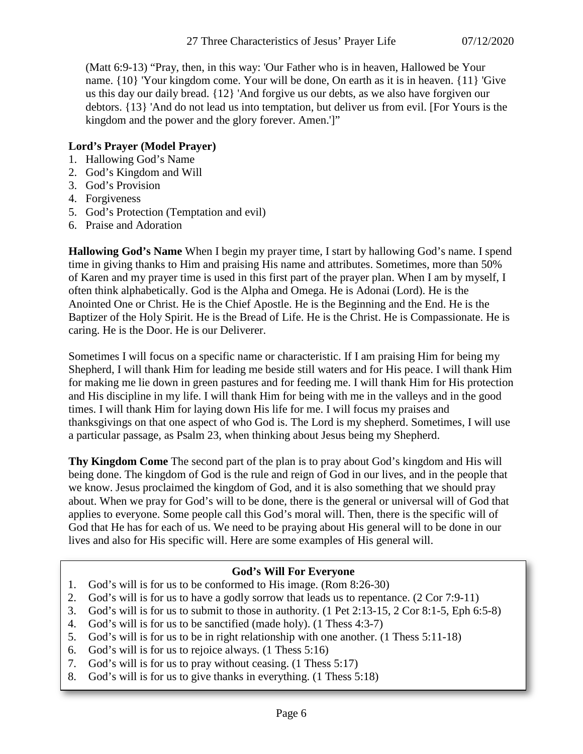(Matt 6:9-13) "Pray, then, in this way: 'Our Father who is in heaven, Hallowed be Your name. {10} 'Your kingdom come. Your will be done, On earth as it is in heaven. {11} 'Give us this day our daily bread. {12} 'And forgive us our debts, as we also have forgiven our debtors. {13} 'And do not lead us into temptation, but deliver us from evil. [For Yours is the kingdom and the power and the glory forever. Amen.']"

## **Lord's Prayer (Model Prayer)**

- 1. Hallowing God's Name
- 2. God's Kingdom and Will
- 3. God's Provision
- 4. Forgiveness
- 5. God's Protection (Temptation and evil)
- 6. Praise and Adoration

**Hallowing God's Name** When I begin my prayer time, I start by hallowing God's name. I spend time in giving thanks to Him and praising His name and attributes. Sometimes, more than 50% of Karen and my prayer time is used in this first part of the prayer plan. When I am by myself, I often think alphabetically. God is the Alpha and Omega. He is Adonai (Lord). He is the Anointed One or Christ. He is the Chief Apostle. He is the Beginning and the End. He is the Baptizer of the Holy Spirit. He is the Bread of Life. He is the Christ. He is Compassionate. He is caring. He is the Door. He is our Deliverer.

Sometimes I will focus on a specific name or characteristic. If I am praising Him for being my Shepherd, I will thank Him for leading me beside still waters and for His peace. I will thank Him for making me lie down in green pastures and for feeding me. I will thank Him for His protection and His discipline in my life. I will thank Him for being with me in the valleys and in the good times. I will thank Him for laying down His life for me. I will focus my praises and thanksgivings on that one aspect of who God is. The Lord is my shepherd. Sometimes, I will use a particular passage, as Psalm 23, when thinking about Jesus being my Shepherd.

**Thy Kingdom Come** The second part of the plan is to pray about God's kingdom and His will being done. The kingdom of God is the rule and reign of God in our lives, and in the people that we know. Jesus proclaimed the kingdom of God, and it is also something that we should pray about. When we pray for God's will to be done, there is the general or universal will of God that applies to everyone. Some people call this God's moral will. Then, there is the specific will of God that He has for each of us. We need to be praying about His general will to be done in our lives and also for His specific will. Here are some examples of His general will.

# **God's Will For Everyone**

- 1. God's will is for us to be conformed to His image. (Rom 8:26-30)
- 2. God's will is for us to have a godly sorrow that leads us to repentance. (2 Cor 7:9-11)
- 3. God's will is for us to submit to those in authority. (1 Pet 2:13-15, 2 Cor 8:1-5, Eph 6:5-8)
- 4. God's will is for us to be sanctified (made holy). (1 Thess 4:3-7)
- 5. God's will is for us to be in right relationship with one another. (1 Thess 5:11-18)
- 6. God's will is for us to rejoice always. (1 Thess 5:16)
- 7. God's will is for us to pray without ceasing. (1 Thess 5:17)
- 8. God's will is for us to give thanks in everything. (1 Thess 5:18)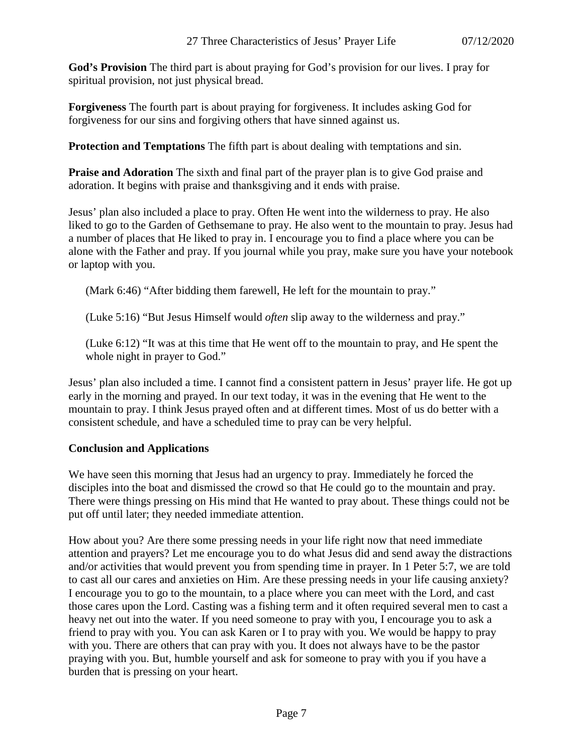**God's Provision** The third part is about praying for God's provision for our lives. I pray for spiritual provision, not just physical bread.

**Forgiveness** The fourth part is about praying for forgiveness. It includes asking God for forgiveness for our sins and forgiving others that have sinned against us.

**Protection and Temptations** The fifth part is about dealing with temptations and sin.

**Praise and Adoration** The sixth and final part of the prayer plan is to give God praise and adoration. It begins with praise and thanksgiving and it ends with praise.

Jesus' plan also included a place to pray. Often He went into the wilderness to pray. He also liked to go to the Garden of Gethsemane to pray. He also went to the mountain to pray. Jesus had a number of places that He liked to pray in. I encourage you to find a place where you can be alone with the Father and pray. If you journal while you pray, make sure you have your notebook or laptop with you.

(Mark 6:46) "After bidding them farewell, He left for the mountain to pray."

(Luke 5:16) "But Jesus Himself would *often* slip away to the wilderness and pray."

(Luke 6:12) "It was at this time that He went off to the mountain to pray, and He spent the whole night in prayer to God."

Jesus' plan also included a time. I cannot find a consistent pattern in Jesus' prayer life. He got up early in the morning and prayed. In our text today, it was in the evening that He went to the mountain to pray. I think Jesus prayed often and at different times. Most of us do better with a consistent schedule, and have a scheduled time to pray can be very helpful.

## **Conclusion and Applications**

We have seen this morning that Jesus had an urgency to pray. Immediately he forced the disciples into the boat and dismissed the crowd so that He could go to the mountain and pray. There were things pressing on His mind that He wanted to pray about. These things could not be put off until later; they needed immediate attention.

How about you? Are there some pressing needs in your life right now that need immediate attention and prayers? Let me encourage you to do what Jesus did and send away the distractions and/or activities that would prevent you from spending time in prayer. In 1 Peter 5:7, we are told to cast all our cares and anxieties on Him. Are these pressing needs in your life causing anxiety? I encourage you to go to the mountain, to a place where you can meet with the Lord, and cast those cares upon the Lord. Casting was a fishing term and it often required several men to cast a heavy net out into the water. If you need someone to pray with you, I encourage you to ask a friend to pray with you. You can ask Karen or I to pray with you. We would be happy to pray with you. There are others that can pray with you. It does not always have to be the pastor praying with you. But, humble yourself and ask for someone to pray with you if you have a burden that is pressing on your heart.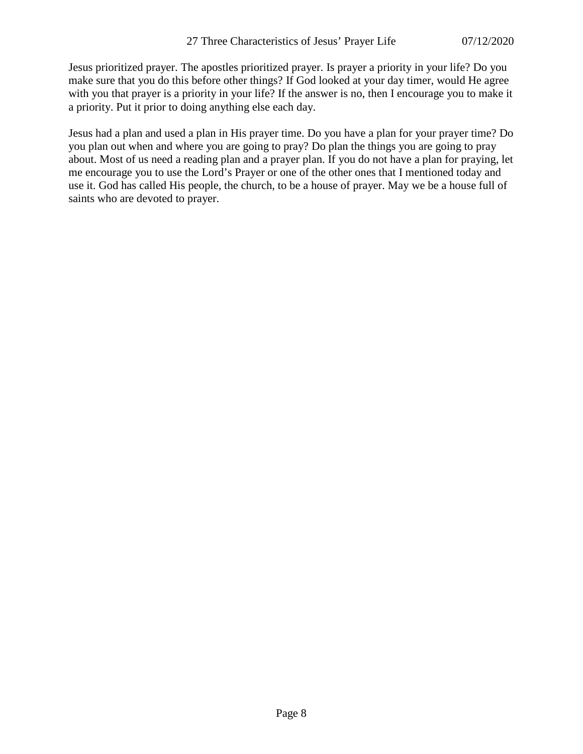Jesus prioritized prayer. The apostles prioritized prayer. Is prayer a priority in your life? Do you make sure that you do this before other things? If God looked at your day timer, would He agree with you that prayer is a priority in your life? If the answer is no, then I encourage you to make it a priority. Put it prior to doing anything else each day.

Jesus had a plan and used a plan in His prayer time. Do you have a plan for your prayer time? Do you plan out when and where you are going to pray? Do plan the things you are going to pray about. Most of us need a reading plan and a prayer plan. If you do not have a plan for praying, let me encourage you to use the Lord's Prayer or one of the other ones that I mentioned today and use it. God has called His people, the church, to be a house of prayer. May we be a house full of saints who are devoted to prayer.